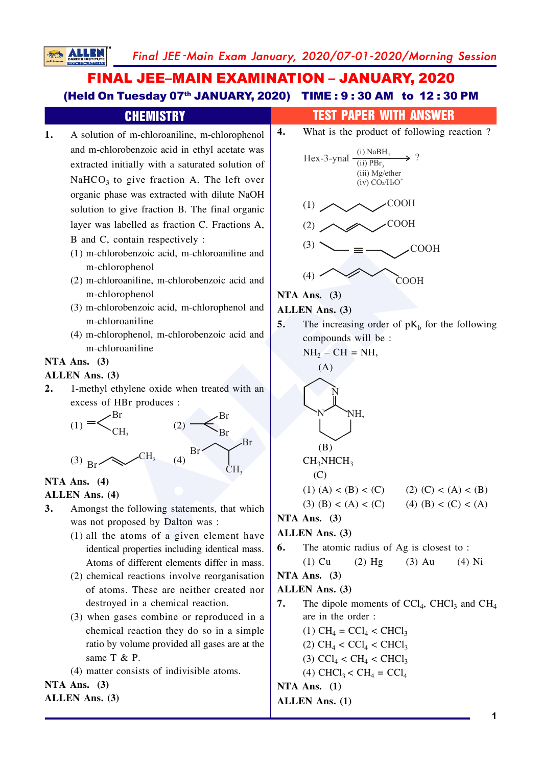Final JEE -Main Exam January, 2020/07-01-2020/Morning Session

# FINAL JEE–MAIN EXAMINATION – JANUARY, 2020 (Held On Tuesday 07<sup>th</sup> JANUARY, 2020) TIME : 9:30 AM to 12:30 PM

**SALL** 

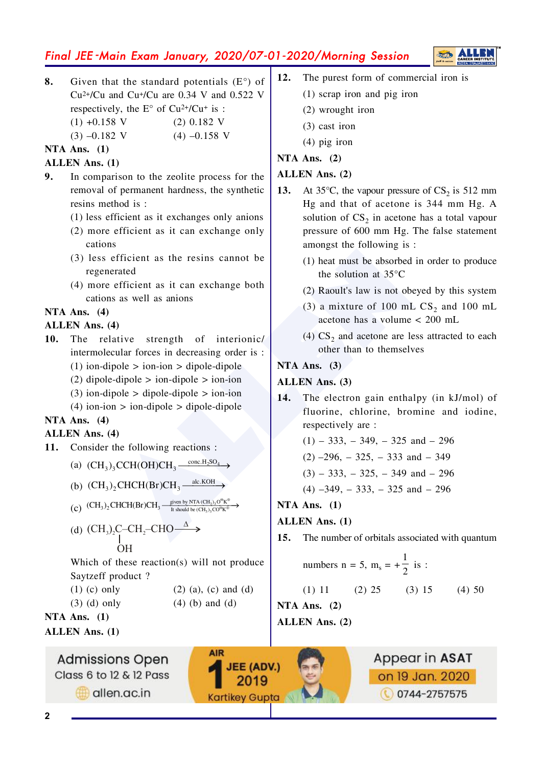# Final JEE -Main Exam January, 2020/07-01-2020/Morning Session

**8.** Given that the standard potentials  $(E^{\circ})$  of  $Cu^{2+}/Cu$  and  $Cu^{+}/Cu$  are 0.34 V and 0.522 V respectively, the  $E^{\circ}$  of Cu<sup>2+</sup>/Cu<sup>+</sup> is :  $(1) +0.158$  V  $(2) 0.182$  V  $(3)$  -0.182 V  $(4)$  -0.158 V

#### **NTA Ans.** (1)

#### **ALLEN** Ans. (1)

- **9.** In comparison to the zeolite process for the removal of permanent hardness, the synthetic resins method is:
	- $(1)$  less efficient as it exchanges only anions
	- $(2)$  more efficient as it can exchange only cations
	- $(3)$  less efficient as the resins cannot be regenerated
	- $(4)$  more efficient as it can exchange both cations as well as anions

#### **NTA Ans.** (4)

#### **ALLEN** Ans. (4)

- **10.** The relative strength of interionic/ intermolecular forces in decreasing order is :
	- $(1)$  ion-dipole > ion-ion > dipole-dipole
	- $(2)$  dipole-dipole  $>$  ion-dipole  $>$  ion-ion
	- $(3)$  ion-dipole > dipole-dipole > ion-ion
	- $(4)$  ion-ion  $>$  ion-dipole  $>$  dipole-dipole

# **NTA Ans.** (4)

#### **ALLEN** Ans. (4)

**11.** Consider the following reactions :

(a) 
$$
(CH_3)_3CCH(OH)CH_3 \xrightarrow{conc.H_2SO_4}
$$

- (b)  $(CH_3)_2$ CHCH(Br)CH<sub>3</sub>  $\xrightarrow{\text{alc.KOH}}$
- (c)  $(CH_3)_2$ CHCH(Br)CH<sub>3</sub>  $\frac{\text{given by NIA (Ch}_3)_3}{\text{It should be (CH}_3)_3}$  $\text{(CH}_3)_2\text{CHCH(Br)CH}_3 \xrightarrow{\text{ given by NTA (CH}_3)_3\text{O}^6\text{K}^6}$

(d) 
$$
(\text{CH}_3)_2\text{C--CH}_2\text{--CHO}\longrightarrow\text{OH}
$$

Which of these reaction(s) will not produce Saytzeff product?

- $(1)$  (c) only  $(2)$  (a), (c) and (d)
- $(3)$  (d) only  $(4)$  (b) and (d)

**AIR** 

**JEE (ADV.)** 

2019

**Kartikey Gupta** 

**NTA Ans.** (1)

**ALLEN Ans.** (1)

**Admissions Open** Class 6 to 12 & 12 Pass

allen.ac.in

- **12.** The purest form of commercial iron is
	- $(1)$  scrap iron and pig iron
	- $(2)$  wrought iron
	- $(3)$  cast iron
	- $(4)$  pig iron
- **NTA Ans.** (2)

# **ALLEN** Ans. (2)

- **13.** At 35°C, the vapour pressure of  $CS_2$  is 512 mm Hg and that of acetone is  $344$  mm Hg. A solution of  $CS_2$  in acetone has a total vapour pressure of 600 mm Hg. The false statement amongst the following is:
	- $(1)$  heat must be absorbed in order to produce the solution at  $35^{\circ}$ C
	- $(2)$  Raoult's law is not obeyed by this system
	- (3) a mixture of 100 mL  $CS_2$  and 100 mL acetone has a volume  $< 200$  mL
	- (4)  $CS_2$  and acetone are less attracted to each other than to themselves

#### **NTA Ans.** (3)

# **ALLEN** Ans. (3)

- Efficient as the resins cannot be<br>
efficient as it can exchange both<br>
and model in or<br>
the solution at 35°C<br>
(1) heat must be absorbed in or<br>
the solution at 35°C<br>
(3) a mixture of 100 mL CS<sub>2</sub><br>
acctone has a volume < 20<br> **14.** The electron gain enthalpy (in kJ/mol) of fluorine, chlorine, bromine and iodine, respectively are :
	- $(1) 333, -349, -325$  and  $-296$
	- $(2)$  –296, –325, –333 and –349

$$
(3) - 333, -325, -349 \text{ and } -296
$$

$$
(4) -349
$$
,  $-333$ ,  $-325$  and  $-296$ 

# **NTA Ans.** (1)

# **ALLEN Ans.** (1)

**15.** The number of orbitals associated with quantum

numbers n = 5, m<sub>s</sub> = 
$$
+\frac{1}{2}
$$
 is :

$$
(1) 11 \t(2) 25 \t(3) 15 \t(4) 50
$$

**NTA Ans.** (2) **ALLEN** Ans. (2)

> Appear in ASAT on 19 Jan. 2020 **0744-2757575**

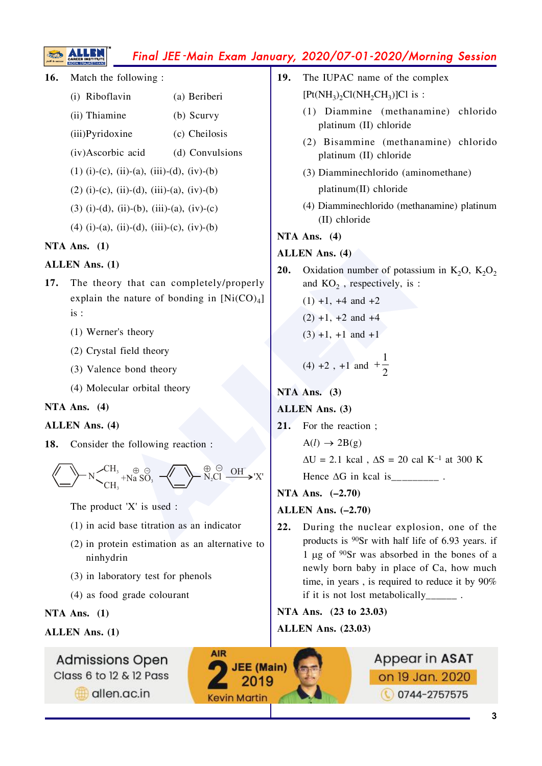# Final JEE-Main Exam January, 2020/07-01-2020/Morning Session

Match the following:  $16.$ 

<u>SS</u>

- (i) Riboflavin (a) Beriberi
- (ii) Thiamine  $(b)$  Scurvy
- (iii)Pyridoxine (c) Cheilosis
- (iv)Ascorbic acid (d) Convulsions
- $(1)$  (i)-(c), (ii)-(a), (iii)-(d), (iv)-(b)
- $(2)$  (i)-(c), (ii)-(d), (iii)-(a), (iv)-(b)
- $(3)$  (i)-(d), (ii)-(b), (iii)-(a), (iv)-(c)
- $(4)$  (i)-(a), (ii)-(d), (iii)-(c), (iv)-(b)

#### NTA Ans.  $(1)$

#### **ALLEN** Ans. (1)

- 17. The theory that can completely/properly explain the nature of bonding in  $[Ni(CO)<sub>4</sub>]$  $is:$ 
	- (1) Werner's theory
	- (2) Crystal field theory
	- (3) Valence bond theory
	- (4) Molecular orbital theory

#### NTA Ans.  $(4)$

#### **ALLEN** Ans. (4)

18. Consider the following reaction:



The product 'X' is used :

- $(1)$  in acid base titration as an indicator
- $(2)$  in protein estimation as an alternative to ninhydrin
- (3) in laboratory test for phenols
- (4) as food grade colourant

# NTA Ans.  $(1)$

# **ALLEN Ans. (1)**

**Admissions Open** Class 6 to 12 & 12 Pass

allen.ac.in

- The IUPAC name of the complex  $19.$  $[Pt(NH_3)_2Cl(NH_2CH_3)]Cl$  is :
	- (1) Diammine (methanamine) chlorido platinum (II) chloride
	- (2) Bisammine (methanamine) chlorido platinum (II) chloride
	- (3) Diamminechlorido (aminomethane) platinum(II) chloride
	- (4) Diamminechlorido (methanamine) platinum (II) chloride

#### NTA Ans.  $(4)$

# **ALLEN Ans. (4)**

- 20. Oxidation number of potassium in  $K_2O$ ,  $K_2O_2$ and  $KO<sub>2</sub>$ , respectively, is :
	- $(1) +1$ , +4 and +2
	- $(2) +1, +2$  and  $+4$
	- $(3) +1$ , +1 and +1

(4) +2, +1 and +
$$
\frac{1}{2}
$$

# NTA Ans.  $(3)$

- **ALLEN** Ans. (3)
- $21.$ For the reaction:

 $A(l) \rightarrow 2B(g)$ 

 $\Delta U = 2.1$  kcal,  $\Delta S = 20$  cal K<sup>-1</sup> at 300 K

Hence  $\Delta G$  in kcal is \_\_\_\_\_\_\_\_\_\_\_\_.

NTA Ans.  $(-2.70)$ 

# ALLEN Ans.  $(-2.70)$

 $22.$ During the nuclear explosion, one of the products is <sup>90</sup>Sr with half life of 6.93 years. if 1 µg of  $90Sr$  was absorbed in the bones of a newly born baby in place of Ca, how much time, in years, is required to reduce it by 90% if it is not lost metabolically .

NTA Ans. (23 to 23.03)

**ALLEN Ans. (23.03)** 



Appear in ASAT

on 19 Jan. 2020